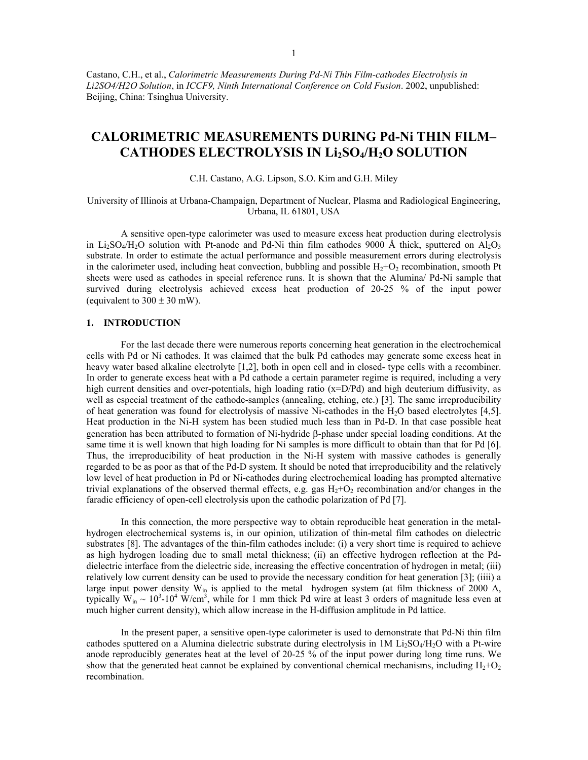Castano, C.H., et al., *Calorimetric Measurements During Pd-Ni Thin Film-cathodes Electrolysis in Li2SO4/H2O Solution*, in *ICCF9, Ninth International Conference on Cold Fusion*. 2002, unpublished: Beijing, China: Tsinghua University.

# **CALORIMETRIC MEASUREMENTS DURING Pd-Ni THIN FILM–** CATHODES ELECTROLYSIS IN Li<sub>2</sub>SO<sub>4</sub>/H<sub>2</sub>O SOLUTION

C.H. Castano, A.G. Lipson, S.O. Kim and G.H. Miley

University of Illinois at Urbana-Champaign, Department of Nuclear, Plasma and Radiological Engineering, Urbana, IL 61801, USA

A sensitive open-type calorimeter was used to measure excess heat production during electrolysis in Li<sub>2</sub>SO<sub>4</sub>/H<sub>2</sub>O solution with Pt-anode and Pd-Ni thin film cathodes 9000 Å thick, sputtered on Al<sub>2</sub>O<sub>3</sub> substrate. In order to estimate the actual performance and possible measurement errors during electrolysis in the calorimeter used, including heat convection, bubbling and possible  $H_2+O_2$  recombination, smooth Pt sheets were used as cathodes in special reference runs. It is shown that the Alumina/ Pd-Ni sample that survived during electrolysis achieved excess heat production of 20-25 % of the input power (equivalent to  $300 \pm 30$  mW).

# **1. INTRODUCTION**

For the last decade there were numerous reports concerning heat generation in the electrochemical cells with Pd or Ni cathodes. It was claimed that the bulk Pd cathodes may generate some excess heat in heavy water based alkaline electrolyte [1,2], both in open cell and in closed- type cells with a recombiner. In order to generate excess heat with a Pd cathode a certain parameter regime is required, including a very high current densities and over-potentials, high loading ratio (x=D/Pd) and high deuterium diffusivity, as well as especial treatment of the cathode-samples (annealing, etching, etc.) [3]. The same irreproducibility of heat generation was found for electrolysis of massive Ni-cathodes in the H2O based electrolytes [4,5]. Heat production in the Ni-H system has been studied much less than in Pd-D. In that case possible heat generation has been attributed to formation of Ni-hydride β-phase under special loading conditions. At the same time it is well known that high loading for Ni samples is more difficult to obtain than that for Pd [6]. Thus, the irreproducibility of heat production in the Ni-H system with massive cathodes is generally regarded to be as poor as that of the Pd-D system. It should be noted that irreproducibility and the relatively low level of heat production in Pd or Ni-cathodes during electrochemical loading has prompted alternative trivial explanations of the observed thermal effects, e.g. gas  $H_2+O_2$  recombination and/or changes in the faradic efficiency of open-cell electrolysis upon the cathodic polarization of Pd [7].

In this connection, the more perspective way to obtain reproducible heat generation in the metalhydrogen electrochemical systems is, in our opinion, utilization of thin-metal film cathodes on dielectric substrates [8]. The advantages of the thin-film cathodes include: (i) a very short time is required to achieve as high hydrogen loading due to small metal thickness; (ii) an effective hydrogen reflection at the Pddielectric interface from the dielectric side, increasing the effective concentration of hydrogen in metal; (iii) relatively low current density can be used to provide the necessary condition for heat generation [3]; (iiii) a large input power density  $W_{in}$  is applied to the metal –hydrogen system (at film thickness of 2000 A, typically  $W_{in} \sim 10^3 \text{-} 10^4$  W/cm<sup>3</sup>, while for 1 mm thick Pd wire at least 3 orders of magnitude less even at much higher current density), which allow increase in the H-diffusion amplitude in Pd lattice.

In the present paper, a sensitive open-type calorimeter is used to demonstrate that Pd-Ni thin film cathodes sputtered on a Alumina dielectric substrate during electrolysis in  $1M Li<sub>2</sub>SO<sub>4</sub>/H<sub>2</sub>O$  with a Pt-wire anode reproducibly generates heat at the level of 20-25 % of the input power during long time runs. We show that the generated heat cannot be explained by conventional chemical mechanisms, including  $H_2+O_2$ recombination.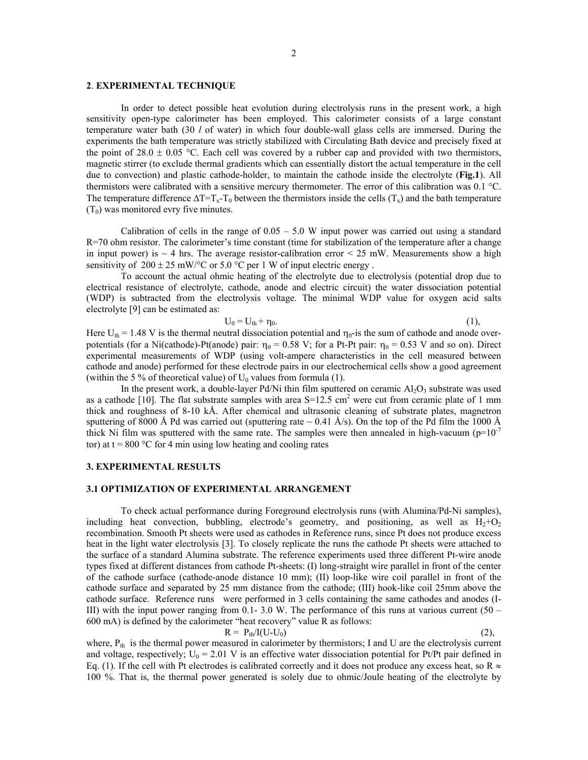#### **2**. **EXPERIMENTAL TECHNIQUE**

In order to detect possible heat evolution during electrolysis runs in the present work, a high sensitivity open-type calorimeter has been employed. This calorimeter consists of a large constant temperature water bath (30 *l* of water) in which four double-wall glass cells are immersed. During the experiments the bath temperature was strictly stabilized with Circulating Bath device and precisely fixed at the point of 28.0  $\pm$  0.05 °C. Each cell was covered by a rubber cap and provided with two thermistors, magnetic stirrer (to exclude thermal gradients which can essentially distort the actual temperature in the cell due to convection) and plastic cathode-holder, to maintain the cathode inside the electrolyte (**Fig.1**). All thermistors were calibrated with a sensitive mercury thermometer. The error of this calibration was 0.1 °C. The temperature difference  $\Delta T=T_x-T_0$  between the thermistors inside the cells (T<sub>x</sub>) and the bath temperature  $(T_0)$  was monitored evry five minutes.

Calibration of cells in the range of  $0.05 - 5.0$  W input power was carried out using a standard R=70 ohm resistor. The calorimeter's time constant (time for stabilization of the temperature after a change in input power) is  $\sim$  4 hrs. The average resistor-calibration error  $\leq$  25 mW. Measurements show a high sensitivity of  $200 \pm 25$  mW/°C or 5.0 °C per 1 W of input electric energy.

To account the actual ohmic heating of the electrolyte due to electrolysis (potential drop due to electrical resistance of electrolyte, cathode, anode and electric circuit) the water dissociation potential (WDP) is subtracted from the electrolysis voltage. The minimal WDP value for oxygen acid salts electrolyte [9] can be estimated as:

$$
U_0 = U_{th} + \eta_0. \tag{1}
$$

Here  $U_{th} = 1.48$  V is the thermal neutral dissociation potential and  $\eta_0$ -is the sum of cathode and anode overpotentials (for a Ni(cathode)-Pt(anode) pair:  $\eta_0 = 0.58$  V; for a Pt-Pt pair:  $\eta_0 = 0.53$  V and so on). Direct experimental measurements of WDP (using volt-ampere characteristics in the cell measured between cathode and anode) performed for these electrode pairs in our electrochemical cells show a good agreement (within the 5 % of theoretical value) of  $U_0$  values from formula (1).

In the present work, a double-layer Pd/Ni thin film sputtered on ceramic  $Al_2O_3$  substrate was used as a cathode [10]. The flat substrate samples with area  $S=12.5$  cm<sup>2</sup> were cut from ceramic plate of 1 mm thick and roughness of 8-10 kÅ. After chemical and ultrasonic cleaning of substrate plates, magnetron sputtering of 8000 Å Pd was carried out (sputtering rate  $\sim$  0.41 Å/s). On the top of the Pd film the 1000 Å thick Ni film was sputtered with the same rate. The samples were then annealed in high-vacuum ( $p=10^{-7}$ ) tor) at  $t = 800$  °C for 4 min using low heating and cooling rates

### **3. EXPERIMENTAL RESULTS**

### **3.1 OPTIMIZATION OF EXPERIMENTAL ARRANGEMENT**

To check actual performance during Foreground electrolysis runs (with Alumina/Pd-Ni samples), including heat convection, bubbling, electrode's geometry, and positioning, as well as  $H_2+O_2$ recombination. Smooth Pt sheets were used as cathodes in Reference runs, since Pt does not produce excess heat in the light water electrolysis [3]. To closely replicate the runs the cathode Pt sheets were attached to the surface of a standard Alumina substrate. The reference experiments used three different Pt-wire anode types fixed at different distances from cathode Pt-sheets: (I) long-straight wire parallel in front of the center of the cathode surface (cathode-anode distance 10 mm); (II) loop-like wire coil parallel in front of the cathode surface and separated by 25 mm distance from the cathode; (III) hook-like coil 25mm above the cathode surface. Reference runs were performed in 3 cells containing the same cathodes and anodes (I-III) with the input power ranging from 0.1- 3.0 W. The performance of this runs at various current  $(50 -$ 600 mA) is defined by the calorimeter "heat recovery" value R as follows:  $R = P_{th}/I(U-U_0)$  (2),

where,  $P_{th}$  is the thermal power measured in calorimeter by thermistors; I and U are the electrolysis current and voltage, respectively;  $U_0 = 2.01$  V is an effective water dissociation potential for Pt/Pt pair defined in Eq. (1). If the cell with Pt electrodes is calibrated correctly and it does not produce any excess heat, so R  $\approx$ 100 %. That is, the thermal power generated is solely due to ohmic/Joule heating of the electrolyte by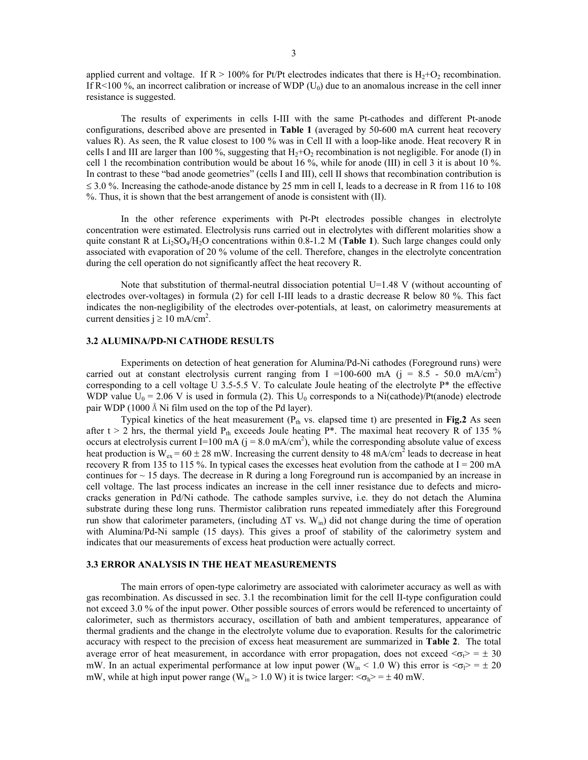applied current and voltage. If  $R > 100\%$  for Pt/Pt electrodes indicates that there is  $H_2 + O_2$  recombination. If  $R \le 100\%$ , an incorrect calibration or increase of WDP (U<sub>0</sub>) due to an anomalous increase in the cell inner resistance is suggested.

 The results of experiments in cells I-III with the same Pt-cathodes and different Pt-anode configurations, described above are presented in **Table 1** (averaged by 50-600 mA current heat recovery values R). As seen, the R value closest to 100 % was in Cell II with a loop-like anode. Heat recovery R in cells I and III are larger than 100 %, suggesting that  $H_2+O_2$  recombination is not negligible. For anode (I) in cell 1 the recombination contribution would be about 16 %, while for anode (III) in cell 3 it is about 10 %. In contrast to these "bad anode geometries" (cells I and III), cell II shows that recombination contribution is  $\leq$  3.0 %. Increasing the cathode-anode distance by 25 mm in cell I, leads to a decrease in R from 116 to 108 %. Thus, it is shown that the best arrangement of anode is consistent with (II).

In the other reference experiments with Pt-Pt electrodes possible changes in electrolyte concentration were estimated. Electrolysis runs carried out in electrolytes with different molarities show a quite constant R at  $Li_2SO_4/H_2O$  concentrations within 0.8-1.2 M (**Table 1**). Such large changes could only associated with evaporation of 20 % volume of the cell. Therefore, changes in the electrolyte concentration during the cell operation do not significantly affect the heat recovery R.

Note that substitution of thermal-neutral dissociation potential U=1.48 V (without accounting of electrodes over-voltages) in formula (2) for cell I-III leads to a drastic decrease R below 80 %. This fact indicates the non-negligibility of the electrodes over-potentials, at least, on calorimetry measurements at current densities  $j \ge 10$  mA/cm<sup>2</sup>.

## **3.2 ALUMINA/PD-NI CATHODE RESULTS**

Experiments on detection of heat generation for Alumina/Pd-Ni cathodes (Foreground runs) were carried out at constant electrolysis current ranging from I = 100-600 mA ( $j = 8.5 - 50.0$  mA/cm<sup>2</sup>) corresponding to a cell voltage U 3.5-5.5 V. To calculate Joule heating of the electrolyte P\* the effective WDP value  $U_0 = 2.06$  V is used in formula (2). This  $U_0$  corresponds to a Ni(cathode)/Pt(anode) electrode pair WDP (1000 Å Ni film used on the top of the Pd layer).

Typical kinetics of the heat measurement  $(P_{th}$  vs. elapsed time t) are presented in Fig.2 As seen after  $t > 2$  hrs, the thermal yield  $P_{th}$  exceeds Joule heating  $P^*$ . The maximal heat recovery R of 135 % occurs at electrolysis current I=100 mA  $(j = 8.0 \text{ mA/cm}^2)$ , while the corresponding absolute value of excess heat production is  $W_{ex} = 60 \pm 28$  mW. Increasing the current density to 48 mA/cm<sup>2</sup> leads to decrease in heat recovery R from 135 to 115 %. In typical cases the excesses heat evolution from the cathode at  $I = 200$  mA continues for  $\sim$  15 days. The decrease in R during a long Foreground run is accompanied by an increase in cell voltage. The last process indicates an increase in the cell inner resistance due to defects and microcracks generation in Pd/Ni cathode. The cathode samples survive, i.e. they do not detach the Alumina substrate during these long runs. Thermistor calibration runs repeated immediately after this Foreground run show that calorimeter parameters, (including  $\Delta T$  vs. W<sub>in</sub>) did not change during the time of operation with Alumina/Pd-Ni sample (15 days). This gives a proof of stability of the calorimetry system and indicates that our measurements of excess heat production were actually correct.

# **3.3 ERROR ANALYSIS IN THE HEAT MEASUREMENTS**

The main errors of open-type calorimetry are associated with calorimeter accuracy as well as with gas recombination. As discussed in sec. 3.1 the recombination limit for the cell II-type configuration could not exceed 3.0 % of the input power. Other possible sources of errors would be referenced to uncertainty of calorimeter, such as thermistors accuracy, oscillation of bath and ambient temperatures, appearance of thermal gradients and the change in the electrolyte volume due to evaporation. Results for the calorimetric accuracy with respect to the precision of excess heat measurement are summarized in **Table 2**. The total average error of heat measurement, in accordance with error propagation, does not exceed  $\langle \sigma \rangle = \pm 30$ mW. In an actual experimental performance at low input power (W<sub>in</sub> < 1.0 W) this error is  $\langle \sigma_{\rm P} \rangle = \pm 20$ mW, while at high input power range (W<sub>in</sub> > 1.0 W) it is twice larger:  $\langle \sigma_h \rangle = \pm 40$  mW.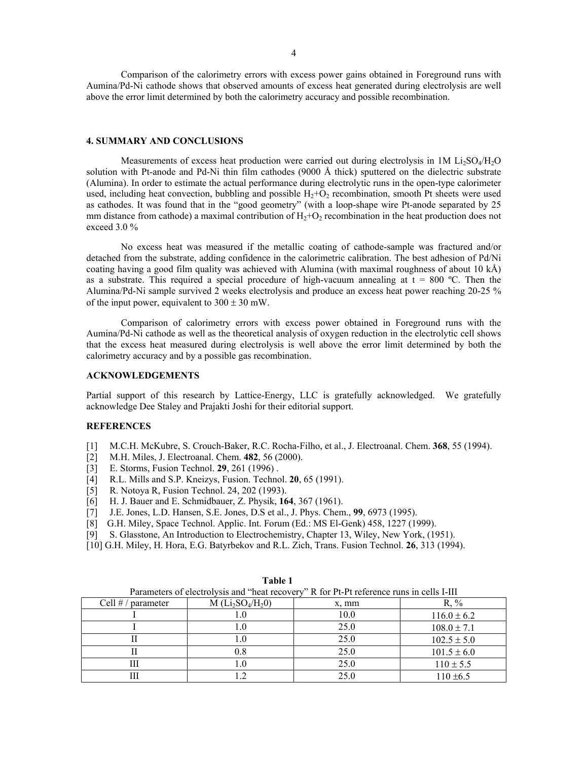Comparison of the calorimetry errors with excess power gains obtained in Foreground runs with Aumina/Pd-Ni cathode shows that observed amounts of excess heat generated during electrolysis are well above the error limit determined by both the calorimetry accuracy and possible recombination.

#### **4. SUMMARY AND CONCLUSIONS**

Measurements of excess heat production were carried out during electrolysis in  $1M$  Li<sub>2</sub>SO<sub>4</sub>/H<sub>2</sub>O solution with Pt-anode and Pd-Ni thin film cathodes (9000 Å thick) sputtered on the dielectric substrate (Alumina). In order to estimate the actual performance during electrolytic runs in the open-type calorimeter used, including heat convection, bubbling and possible  $H_2+O_2$  recombination, smooth Pt sheets were used as cathodes. It was found that in the "good geometry" (with a loop-shape wire Pt-anode separated by 25 mm distance from cathode) a maximal contribution of  $H_2 + O_2$  recombination in the heat production does not exceed 3.0 %

No excess heat was measured if the metallic coating of cathode-sample was fractured and/or detached from the substrate, adding confidence in the calorimetric calibration. The best adhesion of Pd/Ni coating having a good film quality was achieved with Alumina (with maximal roughness of about 10 kÅ) as a substrate. This required a special procedure of high-vacuum annealing at  $t = 800$  °C. Then the Alumina/Pd-Ni sample survived 2 weeks electrolysis and produce an excess heat power reaching 20-25 % of the input power, equivalent to  $300 \pm 30$  mW.

Comparison of calorimetry errors with excess power obtained in Foreground runs with the Aumina/Pd-Ni cathode as well as the theoretical analysis of oxygen reduction in the electrolytic cell shows that the excess heat measured during electrolysis is well above the error limit determined by both the calorimetry accuracy and by a possible gas recombination.

## **ACKNOWLEDGEMENTS**

Partial support of this research by Lattice-Energy, LLC is gratefully acknowledged. We gratefully acknowledge Dee Staley and Prajakti Joshi for their editorial support.

## **REFERENCES**

- [1] M.C.H. McKubre, S. Crouch-Baker, R.C. Rocha-Filho, et al., J. Electroanal. Chem. **368**, 55 (1994).
- [2] M.H. Miles, J. Electroanal. Chem. **482**, 56 (2000).
- [3] E. Storms, Fusion Technol. **29**, 261 (1996) .
- [4] R.L. Mills and S.P. Kneizys, Fusion. Technol. **20**, 65 (1991).
- 
- [5] R. Notoya R, Fusion Technol. 24, 202 (1993). [6] H. J. Bauer and E. Schmidbauer, Z. Physik, **164**, 367 (1961).
- [7] J.E. Jones, L.D. Hansen, S.E. Jones, D.S et al., J. Phys. Chem., **99**, 6973 (1995).
- [8] G.H. Miley, Space Technol. Applic. Int. Forum (Ed.: MS El-Genk) 458, 1227 (1999).
- [9] S. Glasstone, An Introduction to Electrochemistry, Chapter 13, Wiley, New York, (1951).
- [10] G.H. Miley, H. Hora, E.G. Batyrbekov and R.L. Zich, Trans. Fusion Technol. **26**, 313 (1994).

| Parameters of electrolysis and "heat recovery" R for Pt-Pt reference runs in cells I-III |                    |       |                 |  |
|------------------------------------------------------------------------------------------|--------------------|-------|-----------------|--|
| Cell $# /$ parameter                                                                     | $M(Li_2SO_4/H_2O)$ | x, mm | R. %            |  |
|                                                                                          |                    | 10.0  | $116.0 \pm 6.2$ |  |
|                                                                                          | L.U                | 25.0  | $108.0 \pm 7.1$ |  |
|                                                                                          | l.O                | 25.0  | $102.5 \pm 5.0$ |  |
|                                                                                          | $\rm 0.8$          | 25.0  | $101.5 \pm 6.0$ |  |
|                                                                                          | $\cdot$ 0          | 25.0  | $110 \pm 5.5$   |  |
|                                                                                          |                    | 25.0  | $110 \pm 6.5$   |  |

**Table 1**